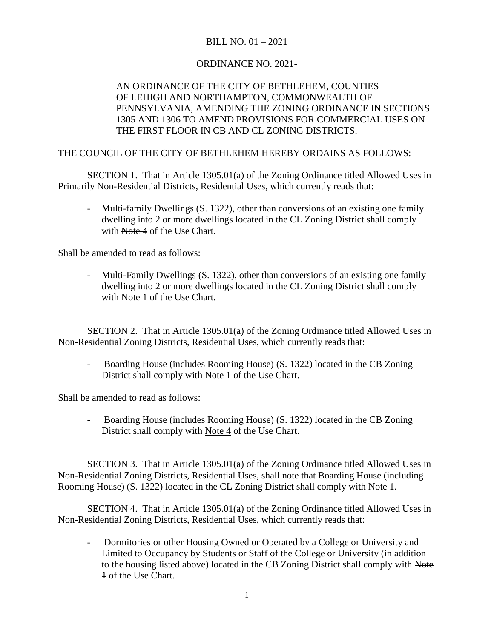## BILL NO. 01 – 2021

## ORDINANCE NO. 2021-

## AN ORDINANCE OF THE CITY OF BETHLEHEM, COUNTIES OF LEHIGH AND NORTHAMPTON, COMMONWEALTH OF PENNSYLVANIA, AMENDING THE ZONING ORDINANCE IN SECTIONS 1305 AND 1306 TO AMEND PROVISIONS FOR COMMERCIAL USES ON THE FIRST FLOOR IN CB AND CL ZONING DISTRICTS.

## THE COUNCIL OF THE CITY OF BETHLEHEM HEREBY ORDAINS AS FOLLOWS:

SECTION 1. That in Article 1305.01(a) of the Zoning Ordinance titled Allowed Uses in Primarily Non-Residential Districts, Residential Uses, which currently reads that:

- Multi-family Dwellings (S. 1322), other than conversions of an existing one family dwelling into 2 or more dwellings located in the CL Zoning District shall comply with Note 4 of the Use Chart.

Shall be amended to read as follows:

- Multi-Family Dwellings (S. 1322), other than conversions of an existing one family dwelling into 2 or more dwellings located in the CL Zoning District shall comply with Note 1 of the Use Chart.

SECTION 2. That in Article 1305.01(a) of the Zoning Ordinance titled Allowed Uses in Non-Residential Zoning Districts, Residential Uses, which currently reads that:

- Boarding House (includes Rooming House) (S. 1322) located in the CB Zoning District shall comply with Note 1 of the Use Chart.

Shall be amended to read as follows:

- Boarding House (includes Rooming House) (S. 1322) located in the CB Zoning District shall comply with Note 4 of the Use Chart.

SECTION 3. That in Article 1305.01(a) of the Zoning Ordinance titled Allowed Uses in Non-Residential Zoning Districts, Residential Uses, shall note that Boarding House (including Rooming House) (S. 1322) located in the CL Zoning District shall comply with Note 1.

SECTION 4. That in Article 1305.01(a) of the Zoning Ordinance titled Allowed Uses in Non-Residential Zoning Districts, Residential Uses, which currently reads that:

- Dormitories or other Housing Owned or Operated by a College or University and Limited to Occupancy by Students or Staff of the College or University (in addition to the housing listed above) located in the CB Zoning District shall comply with Note 1 of the Use Chart.